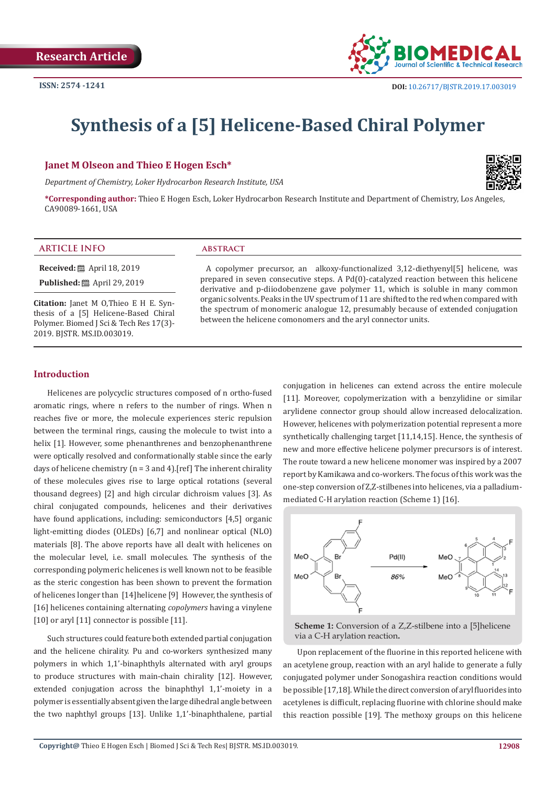

# **Synthesis of a [5] Helicene-Based Chiral Polymer**

# **Janet M Olseon and Thieo E Hogen Esch\***

*Department of Chemistry, Loker Hydrocarbon Research Institute, USA*



**\*Corresponding author:** Thieo E Hogen Esch, Loker Hydrocarbon Research Institute and Department of Chemistry, Los Angeles, CA90089-1661, USA

#### **ARTICLE INFO abstract**

**Received:** ■ April 18, 2019

**Published:** ■ April 29, 2019

**Citation:** Janet M O,Thieo E H E. Synthesis of a [5] Helicene-Based Chiral Polymer. Biomed J Sci & Tech Res 17(3)- 2019. BJSTR. MS.ID.003019.

A copolymer precursor, an alkoxy-functionalized 3,12-diethyenyl[5] helicene, was prepared in seven consecutive steps. A Pd(0)-catalyzed reaction between this helicene derivative and p-diiodobenzene gave polymer 11, which is soluble in many common organic solvents. Peaks in the UV spectrum of 11 are shifted to the red when compared with the spectrum of monomeric analogue 12, presumably because of extended conjugation between the helicene comonomers and the aryl connector units.

#### **Introduction**

Helicenes are polycyclic structures composed of n ortho-fused aromatic rings, where n refers to the number of rings. When n reaches five or more, the molecule experiences steric repulsion between the terminal rings, causing the molecule to twist into a helix [1]. However, some phenanthrenes and benzophenanthrene were optically resolved and conformationally stable since the early days of helicene chemistry ( $n = 3$  and 4). [ref] The inherent chirality of these molecules gives rise to large optical rotations (several thousand degrees) [2] and high circular dichroism values [3]. As chiral conjugated compounds, helicenes and their derivatives have found applications, including: semiconductors [4,5] organic light-emitting diodes (OLEDs) [6,7] and nonlinear optical (NLO) materials [8]. The above reports have all dealt with helicenes on the molecular level, i.e. small molecules. The synthesis of the corresponding polymeric helicenes is well known not to be feasible as the steric congestion has been shown to prevent the formation of helicenes longer than [14]helicene [9] However, the synthesis of [16] helicenes containing alternating *copolymers* having a vinylene [10] or aryl [11] connector is possible [11].

Such structures could feature both extended partial conjugation and the helicene chirality. Pu and co-workers synthesized many polymers in which 1,1'-binaphthyls alternated with aryl groups to produce structures with main-chain chirality [12]. However, extended conjugation across the binaphthyl 1,1'-moiety in a polymer is essentially absent given the large dihedral angle between the two naphthyl groups [13]. Unlike 1,1'-binaphthalene, partial

conjugation in helicenes can extend across the entire molecule [11]. Moreover, copolymerization with a benzylidine or similar arylidene connector group should allow increased delocalization. However, helicenes with polymerization potential represent a more synthetically challenging target [11,14,15]. Hence, the synthesis of new and more effective helicene polymer precursors is of interest. The route toward a new helicene monomer was inspired by a 2007 report by Kamikawa and co-workers. The focus of this work was the one-step conversion of Z,Z-stilbenes into helicenes, via a palladiummediated C-H arylation reaction (Scheme 1) [16].





Upon replacement of the fluorine in this reported helicene with an acetylene group, reaction with an aryl halide to generate a fully conjugated polymer under Sonogashira reaction conditions would be possible [17,18]. While the direct conversion of aryl fluorides into acetylenes is difficult, replacing fluorine with chlorine should make this reaction possible [19]. The methoxy groups on this helicene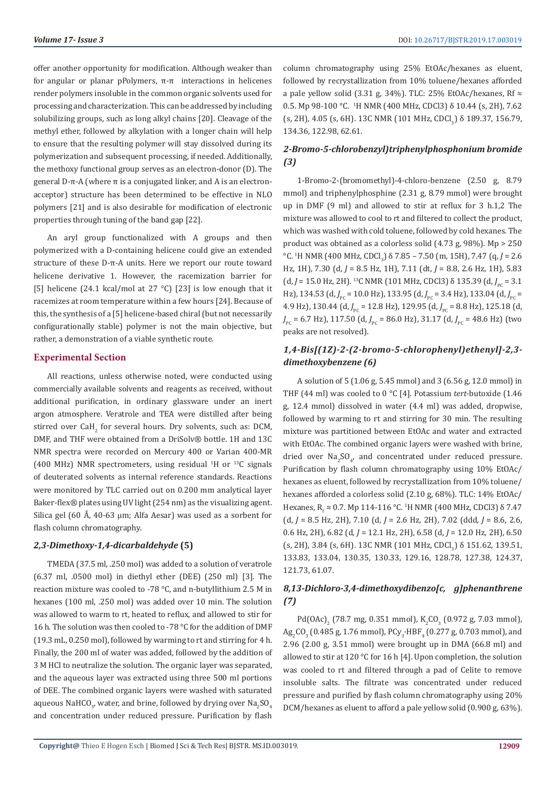offer another opportunity for modification. Although weaker than for angular or planar pPolymers, π-π interactions in helicenes render polymers insoluble in the common organic solvents used for processing and characterization. This can be addressed by including solubilizing groups, such as long alkyl chains [20]. Cleavage of the methyl ether, followed by alkylation with a longer chain will help to ensure that the resulting polymer will stay dissolved during its polymerization and subsequent processing, if needed. Additionally, the methoxy functional group serves as an electron-donor (D). The general D-π-A (where π is a conjugated linker, and A is an electronacceptor) structure has been determined to be effective in NLO polymers [21] and is also desirable for modification of electronic properties through tuning of the band gap [22].

An aryl group functionalized with A groups and then polymerized with a D-containing helicene could give an extended structure of these D-π-A units. Here we report our route toward helicene derivative 1. However, the racemization barrier for [5] helicene (24.1 kcal/mol at 27 °C) [23] is low enough that it racemizes at room temperature within a few hours [24]. Because of this, the synthesis of a [5] helicene-based chiral (but not necessarily configurationally stable) polymer is not the main objective, but rather, a demonstration of a viable synthetic route.

## **Experimental Section**

All reactions, unless otherwise noted, were conducted using commercially available solvents and reagents as received, without additional purification, in ordinary glassware under an inert argon atmosphere. Veratrole and TEA were distilled after being stirred over  $\overline{\text{caH}}_{2}$  for several hours. Dry solvents, such as: DCM, DMF, and THF were obtained from a DriSolv® bottle. 1H and 13C NMR spectra were recorded on Mercury 400 or Varian 400-MR  $(400 \text{ MHz})$  NMR spectrometers, using residual <sup>1</sup>H or <sup>13</sup>C signals of deuterated solvents as internal reference standards. Reactions were monitored by TLC carried out on 0.200 mm analytical layer Baker-flex® plates using UV light (254 nm) as the visualizing agent. Silica gel (60 Å, 40-63 μm; Alfa Aesar) was used as a sorbent for flash column chromatography.

# *2,3-Dimethoxy-1,4-dicarbaldehyde* **(5)**

TMEDA (37.5 ml, .250 mol) was added to a solution of veratrole (6.37 ml, .0500 mol) in diethyl ether (DEE) (250 ml) [3]. The reaction mixture was cooled to -78 °C, and n-butyllithium 2.5 M in hexanes (100 ml, .250 mol) was added over 10 min. The solution was allowed to warm to rt, heated to reflux, and allowed to stir for 16 h. The solution was then cooled to -78 °C for the addition of DMF (19.3 mL, 0.250 mol), followed by warming to rt and stirring for 4 h. Finally, the 200 ml of water was added, followed by the addition of 3 M HCl to neutralize the solution. The organic layer was separated, and the aqueous layer was extracted using three 500 ml portions of DEE. The combined organic layers were washed with saturated aqueous NaHCO<sub>3</sub>, water, and brine, followed by drying over Na<sub>2</sub>SO<sub>4</sub> and concentration under reduced pressure. Purification by flash

column chromatography using 25% EtOAc/hexanes as eluent, followed by recrystallization from 10% toluene/hexanes afforded a pale yellow solid (3.31 g, 34%). TLC: 25% EtOAc/hexanes, Rf  $\approx$ 0.5. Mp 98-100 °C. <sup>1</sup> H NMR (400 MHz, CDCl3) δ 10.44 (s, 2H), 7.62  $(S, 2H)$ , 4.05  $(S, 6H)$ . 13C NMR (101 MHz, CDCl<sub>3</sub>)  $\delta$  189.37, 156.79, 134.36, 122.98, 62.61.

# *2-Bromo-5-chlorobenzyl)triphenylphosphonium bromide (3)*

1-Bromo-2-(bromomethyl)-4-chloro-benzene (2.50 g, 8.79 mmol) and triphenylphosphine (2.31 g, 8.79 mmol) were brought up in DMF (9 ml) and allowed to stir at reflux for 3 h.1,2 The mixture was allowed to cool to rt and filtered to collect the product, which was washed with cold toluene, followed by cold hexanes. The product was obtained as a colorless solid (4.73 g, 98%). Mp > 250 °C. <sup>1</sup>H NMR (400 MHz, CDCl<sub>3</sub>) δ 7.85 – 7.50 (m, 15H), 7.47 (q, *J* = 2.6 Hz, 1H), 7.30 (d, *J* = 8.5 Hz, 1H), 7.11 (dt, *J* = 8.8, 2.6 Hz, 1H), 5.83 (d, *J* = 15.0 Hz, 2H). <sup>13</sup>C NMR (101 MHz, CDCl3)  $\delta$  135.39 (d, *J*<sub>PC</sub> = 3.1 Hz), 134.53 (d, *J*<sub>PC</sub> = 10.0 Hz), 133.95 (d, *J*<sub>PC</sub> = 3.4 Hz), 133.04 (d, *J*<sub>PC</sub> = 4.9 Hz), 130.44 (d, *J*<sub>PC</sub> = 12.8 Hz), 129.95 (d, *J*<sub>PC</sub> = 8.8 Hz), 125.18 (d, *J*<sub>PC</sub> = 6.7 Hz), 117.50 (d, *J*<sub>PC</sub> = 86.0 Hz), 31.17 (d, *J*<sub>PC</sub> = 48.6 Hz) (two peaks are not resolved).

# *1,4-Bis[(1Z)-2-(2-bromo-5-chlorophenyl)ethenyl]-2,3 dimethoxybenzene (6)*

A solution of 5 (1.06 g, 5.45 mmol) and 3 (6.56 g, 12.0 mmol) in THF (44 ml) was cooled to 0 °C [4]. Potassium *tert*-butoxide (1.46 g, 12.4 mmol) dissolved in water (4.4 ml) was added, dropwise, followed by warming to rt and stirring for 30 min. The resulting mixture was partitioned between EtOAc and water and extracted with EtOAc. The combined organic layers were washed with brine, dried over  $\text{Na}_2\text{SO}_4$ , and concentrated under reduced pressure. Purification by flash column chromatography using 10% EtOAc/ hexanes as eluent, followed by recrystallization from 10% toluene/ hexanes afforded a colorless solid (2.10 g, 68%). TLC: 14% EtOAc/ Hexanes, R<sub>f</sub> ≈ 0.7. Mp 114-116 °C. <sup>1</sup>H NMR (400 MHz, CDCl3)  $\delta$  7.47 (d, *J* = 8.5 Hz, 2H), 7.10 (d, *J* = 2.6 Hz, 2H), 7.02 (ddd, *J* = 8.6, 2.6, 0.6 Hz, 2H), 6.82 (d, *J* = 12.1 Hz, 2H), 6.58 (d, *J* = 12.0 Hz, 2H), 6.50 (s, 2H), 3.84 (s, 6H). 13C NMR (101 MHz, CDCl<sub>3</sub>) ծ 151.62, 139.51, 133.83, 133.04, 130.35, 130.33, 129.16, 128.78, 127.38, 124.37, 121.73, 61.07.

# *8,13-Dichloro-3,4-dimethoxydibenzo[c, g]phenanthrene (7)*

Pd(OAc)<sub>2</sub> (78.7 mg, 0.351 mmol), K<sub>2</sub>CO<sub>3</sub> (0.972 g, 7.03 mmol),  $\text{Ag}_{2}\text{CO}_{3}$  (0.485 g, 1.76 mmol), PCy<sub>3</sub>·HBF<sub>4</sub> (0.277 g, 0.703 mmol), and 2.96 (2.00 g, 3.51 mmol) were brought up in DMA (66.8 ml) and allowed to stir at 120 °C for 16 h [4]. Upon completion, the solution was cooled to rt and filtered through a pad of Celite to remove insoluble salts. The filtrate was concentrated under reduced pressure and purified by flash column chromatography using 20% DCM/hexanes as eluent to afford a pale yellow solid (0.900 g, 63%).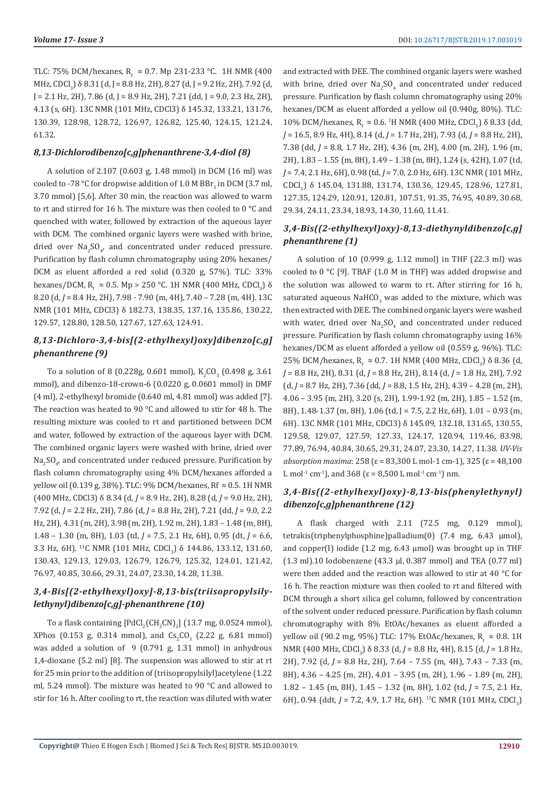TLC: 75% DCM/hexanes,  $R_f \approx 0.7$ . Mp 231-233 °C. TH NMR (400) MHz, CDCl<sub>3</sub>) δ 8.31 (d, J = 8.8 Hz, 2H), 8.27 (d, J = 9.2 Hz, 2H), 7.92 (d,  $J = 2.1$  Hz, 2H), 7.86 (d, J = 8.9 Hz, 2H), 7.21 (dd, J = 9.0, 2.3 Hz, 2H), 4.13 (s, 6H). 13C NMR (101 MHz, CDCl3) δ 145.32, 133.21, 131.76, 130.39, 128.98, 128.72, 126.97, 126.82, 125.40, 124.15, 121.24, 61.32.

# *8,13-Dichlorodibenzo[c,g]phenanthrene-3,4-diol (8)*

A solution of 2.107 (0.603 g, 1.48 mmol) in DCM (16 ml) was cooled to -78 °C for dropwise addition of  $1.0$  M  $\rm{BBr}_3$  in DCM (3.7 ml, 3.70 mmol) [5,6]. After 30 min, the reaction was allowed to warm to rt and stirred for 16 h. The mixture was then cooled to 0 °C and quenched with water, followed by extraction of the aqueous layer with DCM. The combined organic layers were washed with brine, dried over  $\text{Na}_2\text{SO}_4$ , and concentrated under reduced pressure. Purification by flash column chromatography using 20% hexanes/ DCM as eluent afforded a red solid (0.320 g, 57%). TLC: 33% hexanes/DCM,  $R_f \approx 0.5$ . Mp > 250 °C. 1H NMR (400 MHz, CDCl<sub>3</sub>)  $\delta$ 8.20 (d, *J* = 8.4 Hz, 2H), 7.98 - 7.90 (m, 4H), 7.40 – 7.28 (m, 4H). 13C NMR (101 MHz, CDCl3) δ 182.73, 138.35, 137.16, 135.86, 130.22, 129.57, 128.80, 128.50, 127.67, 127.63, 124.91.

# *8,13-Dichloro-3,4-bis[(2-ethylhexyl)oxy]dibenzo[c,g] phenanthrene (9)*

To a solution of 8 (0.228g, 0.601 mmol),  $K_2CO_3$  (0.498 g, 3.61 mmol), and dibenzo-18-crown-6 (0.0220 g, 0.0601 mmol) in DMF (4 ml), 2-ethylhexyl bromide (0.640 ml, 4.81 mmol) was added [7]. The reaction was heated to 90 °C and allowed to stir for 48 h. The resulting mixture was cooled to rt and partitioned between DCM and water, followed by extraction of the aqueous layer with DCM. The combined organic layers were washed with brine, dried over  $\text{Na}_2 \text{SO}_4$ , and concentrated under reduced pressure. Purification by flash column chromatography using 4% DCM/hexanes afforded a yellow oil (0.139 g, 38%). TLC: 9% DCM/hexanes, Rf ≈ 0.5. 1H NMR (400 MHz, CDCl3) δ 8.34 (d, *J* = 8.9 Hz, 2H), 8.28 (d, *J* = 9.0 Hz, 2H), 7.92 (d, *J* = 2.2 Hz, 2H), 7.86 (d, *J* = 8.8 Hz, 2H), 7.21 (dd, *J* = 9.0, 2.2 Hz, 2H), 4.31 (m, 2H), 3.98 (m, 2H), 1.92 m, 2H), 1.83 – 1.48 (m, 8H), 1.48 – 1.30 (m, 8H), 1.03 (td, *J* = 7.5, 2.1 Hz, 6H), 0.95 (dt, *J* = 6.6, 3.3 Hz, 6H). <sup>13</sup>C NMR (101 MHz, CDCl<sub>3</sub>)  $\delta$  144.86, 133.12, 131.60, 130.43, 129.13, 129.03, 126.79, 126.79, 125.32, 124.01, 121.42, 76.97, 40.85, 30.66, 29.31, 24.07, 23.30, 14.28, 11.38.

# *3,4-Bis[(2-ethylhexyl)oxy]-8,13-bis(triisopropylsilylethynyl)dibenzo[c,g]-phenanthrene (10)*

To a flask containing  $[{\rm PdCl}_2({\rm CH}_3{\rm CN})_2]$  (13.7 mg, 0.0524 mmol),  $XPhos$  (0.153 g, 0.314 mmol), and  $Cs<sub>2</sub>CO<sub>3</sub>$  (2.22 g, 6.81 mmol) was added a solution of 9 (0.791 g, 1.31 mmol) in anhydrous 1,4-dioxane (5.2 ml) [8]. The suspension was allowed to stir at rt for 25 min prior to the addition of (triisopropylsilyl)acetylene (1.22 ml, 5.24 mmol). The mixture was heated to 90 °C and allowed to stir for 16 h. After cooling to rt, the reaction was diluted with water

and extracted with DEE. The combined organic layers were washed with brine, dried over  $\text{Na}_2\text{SO}_4$  and concentrated under reduced pressure. Purification by flash column chromatography using 20% hexanes/DCM as eluent afforded a yellow oil (0.940g, 80%). TLC: 10% DCM/hexanes, R<sub>f</sub>  $\approx$  0.6. <sup>1</sup>H NMR (400 MHz, CDCl<sub>3</sub>) δ 8.33 (dd, *J* = 16.5, 8.9 Hz, 4H), 8.14 (d, *J* = 1.7 Hz, 2H), 7.93 (d, *J* = 8.8 Hz, 2H), 7.38 (dd, *J* = 8.8, 1.7 Hz, 2H), 4.36 (m, 2H), 4.00 (m, 2H), 1.96 (m, 2H), 1.83 – 1.55 (m, 8H), 1.49 – 1.38 (m, 8H), 1.24 (s, 42H), 1.07 (td, *J* = 7.4, 2.1 Hz, 6H), 0.98 (td, *J* = 7.0, 2.0 Hz, 6H). 13C NMR (101 MHz, CDCl<sub>3</sub>) δ 145.04, 131.88, 131.74, 130.36, 129.45, 128.96, 127.81, 127.35, 124.29, 120.91, 120.81, 107.51, 91.35, 76.95, 40.89, 30.68, 29.34, 24.11, 23.34, 18.93, 14.30, 11.60, 11.41.

# *3,4-Bis((2-ethylhexyl)oxy)-8,13-diethynyldibenzo[c,g] phenanthrene (1)*

A solution of 10 (0.999 g, 1.12 mmol) in THF (22.3 ml) was cooled to 0 °C [9]. TBAF (1.0 M in THF) was added dropwise and the solution was allowed to warm to rt. After stirring for 16 h, saturated aqueous NaHCO<sub>3</sub> was added to the mixture, which was then extracted with DEE. The combined organic layers were washed with water, dried over  $\text{Na}_2\text{SO}_4$  and concentrated under reduced pressure. Purification by flash column chromatography using 16% hexanes/DCM as eluent afforded a yellow oil (0.559 g, 96%). TLC: 25% DCM/hexanes,  $R_f \approx 0.7$ . 1H NMR (400 MHz, CDCl<sub>3</sub>) δ 8.36 (d, *J* = 8.8 Hz, 2H), 8.31 (d, *J* = 8.8 Hz, 2H), 8.14 (d, *J* = 1.8 Hz, 2H), 7.92 (d, *J* = 8.7 Hz, 2H), 7.36 (dd, *J* = 8.8, 1.5 Hz, 2H), 4.39 – 4.28 (m, 2H), 4.06 – 3.95 (m, 2H), 3.20 (s, 2H), 1.99-1.92 (m, 2H), 1.85 – 1.52 (m, 8H), 1.48-1.37 (m, 8H), 1.06 (td, J = 7.5, 2.2 Hz, 6H), 1.01 – 0.93 (m, 6H). 13C NMR (101 MHz, CDCl3) δ 145.09, 132.18, 131.65, 130.55, 129.58, 129.07, 127.59, 127.33, 124.17, 120.94, 119.46, 83.98, 77.89, 76.94, 40.84, 30.65, 29.31, 24.07, 23.30, 14.27, 11.38. *UV-Vis absorption maxima*: 258 (ε = 83,300 L mol-1 cm-1), 325 (ε = 48,100 L mol<sup>-1</sup> cm<sup>-1</sup>), and 368 ( $\varepsilon$  = 8,500 L mol<sup>-1</sup> cm<sup>-1</sup>) nm.

# *3,4-Bis((2-ethylhexyl)oxy)-8,13-bis(phenylethynyl) dibenzo[c,g]phenanthrene (12)*

A flask charged with 2.11 (72.5 mg, 0.129 mmol), tetrakis(triphenylphosphine)palladium(0) (7.4 mg, 6.43 μmol), and copper(I) iodide (1.2 mg, 6.43 µmol) was brought up in THF (1.3 ml).10 Iodobenzene (43.3 μl, 0.387 mmol) and TEA (0.77 ml) were then added and the reaction was allowed to stir at 40 °C for 16 h. The reaction mixture was then cooled to rt and filtered with DCM through a short silica gel column, followed by concentration of the solvent under reduced pressure. Purification by flash column chromatography with 8% EtOAc/hexanes as eluent afforded a yellow oil (90.2 mg, 95%) TLC: 17% EtOAc/hexanes,  $R_f \approx 0.8$ . 1H NMR (400 MHz, CDCl<sub>3</sub>) δ 8.33 (d, *J* = 8.8 Hz, 4H), 8.15 (d, *J* = 1.8 Hz, 2H), 7.92 (d, *J* = 8.8 Hz, 2H), 7.64 – 7.55 (m, 4H), 7.43 – 7.33 (m, 8H), 4.36 – 4.25 (m, 2H), 4.01 – 3.95 (m, 2H), 1.96 – 1.89 (m, 2H), 1.82 – 1.45 (m, 8H), 1.45 – 1.32 (m, 8H), 1.02 (td, *J* = 7.5, 2.1 Hz, 6H), 0.94 (ddt, *J* = 7.2, 4.9, 1.7 Hz, 6H). <sup>13</sup>C NMR (101 MHz, CDCl<sub>3</sub>)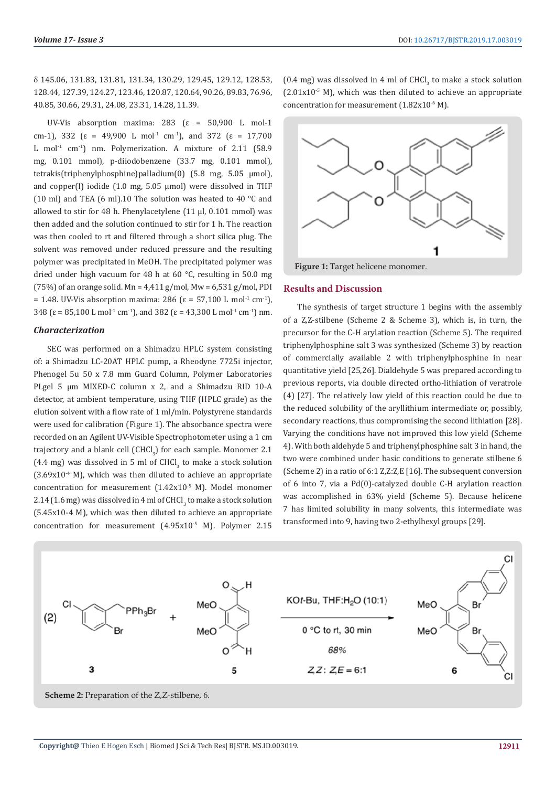δ 145.06, 131.83, 131.81, 131.34, 130.29, 129.45, 129.12, 128.53, 128.44, 127.39, 124.27, 123.46, 120.87, 120.64, 90.26, 89.83, 76.96, 40.85, 30.66, 29.31, 24.08, 23.31, 14.28, 11.39.

UV-Vis absorption maxima: 283 ( $\varepsilon$  = 50,900 L mol-1 cm-1), 332 ( $\varepsilon$  = 49,900 L mol<sup>-1</sup> cm<sup>-1</sup>), and 372 ( $\varepsilon$  = 17,700 L mol<sup>-1</sup> cm<sup>-1</sup>) nm. Polymerization. A mixture of 2.11 (58.9) mg, 0.101 mmol), p-diiodobenzene (33.7 mg, 0.101 mmol), tetrakis(triphenylphosphine)palladium(0) (5.8 mg, 5.05 μmol), and copper(I) iodide (1.0 mg, 5.05 μmol) were dissolved in THF (10 ml) and TEA (6 ml).10 The solution was heated to 40 °C and allowed to stir for 48 h. Phenylacetylene (11 μl, 0.101 mmol) was then added and the solution continued to stir for 1 h. The reaction was then cooled to rt and filtered through a short silica plug. The solvent was removed under reduced pressure and the resulting polymer was precipitated in MeOH. The precipitated polymer was dried under high vacuum for 48 h at 60 °C, resulting in 50.0 mg (75%) of an orange solid. Mn =  $4,411$  g/mol, Mw =  $6,531$  g/mol, PDI = 1.48. UV-Vis absorption maxima: 286 (ε = 57,100 L mol<sup>-1</sup> cm<sup>-1</sup>), 348 ( $\varepsilon$  = 85,100 L mol<sup>-1</sup> cm<sup>-1</sup>), and 382 ( $\varepsilon$  = 43,300 L mol<sup>-1</sup> cm<sup>-1</sup>) nm.

## *Characterization*

SEC was performed on a Shimadzu HPLC system consisting of: a Shimadzu LC-20AT HPLC pump, a Rheodyne 7725i injector, Phenogel 5u 50 x 7.8 mm Guard Column, Polymer Laboratories PLgel 5 μm MIXED-C column x 2, and a Shimadzu RID 10-A detector, at ambient temperature, using THF (HPLC grade) as the elution solvent with a flow rate of 1 ml/min. Polystyrene standards were used for calibration (Figure 1). The absorbance spectra were recorded on an Agilent UV-Visible Spectrophotometer using a 1 cm trajectory and a blank cell  $(\text{CHCl}_3)$  for each sample. Monomer 2.1  $(4.4 \text{ mg})$  was dissolved in 5 ml of CHCl<sub>3</sub> to make a stock solution  $(3.69x10<sup>-4</sup> M)$ , which was then diluted to achieve an appropriate concentration for measurement (1.42x10-5 M). Model monomer  $2.14$  (1.6 mg) was dissolved in 4 ml of CHCl<sub>3</sub> to make a stock solution (5.45x10-4 M), which was then diluted to achieve an appropriate concentration for measurement (4.95x10<sup>-5</sup> M). Polymer 2.15

(0.4 mg) was dissolved in 4 ml of  $CHCI<sub>3</sub>$  to make a stock solution  $(2.01x10^{-5}$  M), which was then diluted to achieve an appropriate concentration for measurement (1.82x10<sup>-6</sup> M).



#### **Results and Discussion**

The synthesis of target structure 1 begins with the assembly of a Z,Z-stilbene (Scheme 2 & Scheme 3), which is, in turn, the precursor for the C-H arylation reaction (Scheme 5). The required triphenylphosphine salt 3 was synthesized (Scheme 3) by reaction of commercially available 2 with triphenylphosphine in near quantitative yield [25,26]. Dialdehyde 5 was prepared according to previous reports, via double directed ortho-lithiation of veratrole (4) [27]. The relatively low yield of this reaction could be due to the reduced solubility of the aryllithium intermediate or, possibly, secondary reactions, thus compromising the second lithiation [28]. Varying the conditions have not improved this low yield (Scheme 4). With both aldehyde 5 and triphenylphosphine salt 3 in hand, the two were combined under basic conditions to generate stilbene 6 (Scheme 2) in a ratio of 6:1 Z,Z:Z,E [16]. The subsequent conversion of 6 into 7, via a Pd(0)-catalyzed double C-H arylation reaction was accomplished in 63% yield (Scheme 5). Because helicene 7 has limited solubility in many solvents, this intermediate was transformed into 9, having two 2-ethylhexyl groups [29].



**Scheme 2:** Preparation of the Z,Z-stilbene, 6.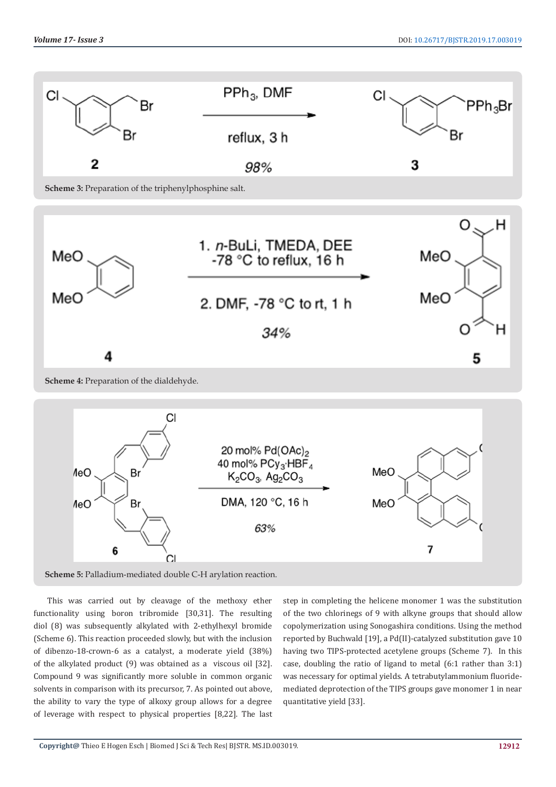

#### **Scheme 4:** Preparation of the dialdehyde.



**Scheme 5:** Palladium-mediated double C-H arylation reaction.

This was carried out by cleavage of the methoxy ether functionality using boron tribromide [30,31]. The resulting diol (8) was subsequently alkylated with 2-ethylhexyl bromide (Scheme 6). This reaction proceeded slowly, but with the inclusion of dibenzo-18-crown-6 as a catalyst, a moderate yield (38%) of the alkylated product (9) was obtained as a viscous oil [32]. Compound 9 was significantly more soluble in common organic solvents in comparison with its precursor, 7. As pointed out above, the ability to vary the type of alkoxy group allows for a degree of leverage with respect to physical properties [8,22]. The last

step in completing the helicene monomer 1 was the substitution of the two chlorinegs of 9 with alkyne groups that should allow copolymerization using Sonogashira conditions. Using the method reported by Buchwald [19], a Pd(II)-catalyzed substitution gave 10 having two TIPS-protected acetylene groups (Scheme 7). In this case, doubling the ratio of ligand to metal (6:1 rather than 3:1) was necessary for optimal yields. A tetrabutylammonium fluoridemediated deprotection of the TIPS groups gave monomer 1 in near quantitative yield [33].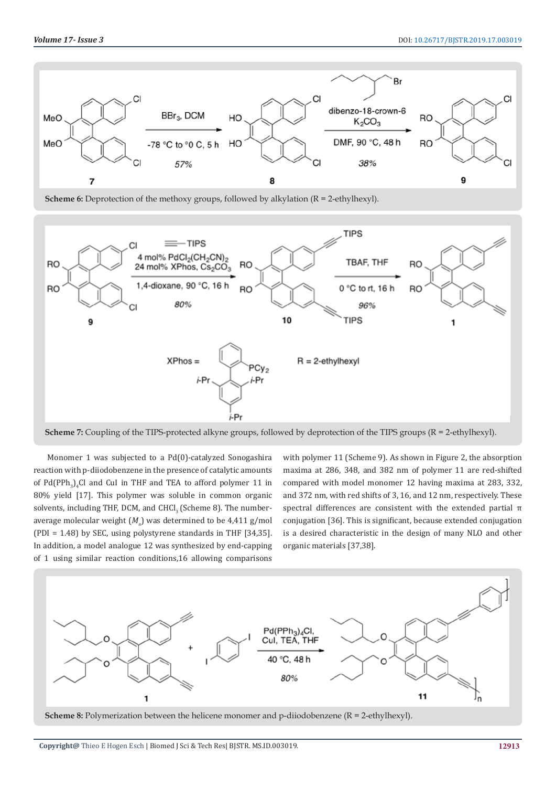

**Scheme 6:** Deprotection of the methoxy groups, followed by alkylation (R = 2-ethylhexyl).



**Scheme 7:** Coupling of the TIPS-protected alkyne groups, followed by deprotection of the TIPS groups (R = 2-ethylhexyl).

Monomer 1 was subjected to a Pd(0)-catalyzed Sonogashira reaction with p-diiodobenzene in the presence of catalytic amounts of  $Pd(PPh_3)_4$ Cl and CuI in THF and TEA to afford polymer 11 in 80% yield [17]. This polymer was soluble in common organic solvents, including THF, DCM, and CHCl<sub>3</sub> (Scheme 8). The numberaverage molecular weight  $(M<sub>n</sub>)$  was determined to be 4,411 g/mol (PDI = 1.48) by SEC, using polystyrene standards in THF [34,35]. In addition, a model analogue 12 was synthesized by end-capping of 1 using similar reaction conditions,16 allowing comparisons

with polymer 11 (Scheme 9). As shown in Figure 2, the absorption maxima at 286, 348, and 382 nm of polymer 11 are red-shifted compared with model monomer 12 having maxima at 283, 332, and 372 nm, with red shifts of 3, 16, and 12 nm, respectively. These spectral differences are consistent with the extended partial π conjugation [36]. This is significant, because extended conjugation is a desired characteristic in the design of many NLO and other organic materials [37,38].



**Scheme 8:** Polymerization between the helicene monomer and p-diiodobenzene (R = 2-ethylhexyl).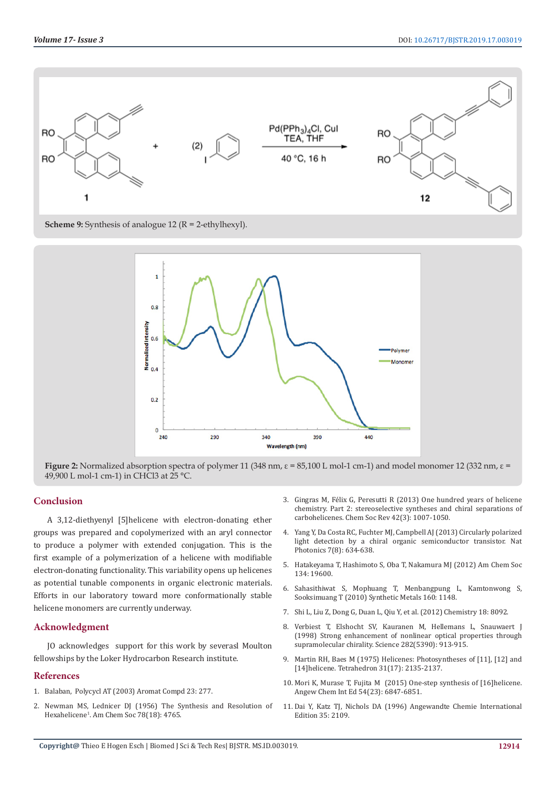

**Scheme 9:** Synthesis of analogue 12 (R = 2-ethylhexyl).



**Figure 2:** Normalized absorption spectra of polymer 11 (348 nm, ε = 85,100 L mol-1 cm-1) and model monomer 12 (332 nm, ε = 49,900 L mol-1 cm-1) in CHCl3 at 25 °C.

# **Conclusion**

A 3,12-diethyenyl [5]helicene with electron-donating ether groups was prepared and copolymerized with an aryl connector to produce a polymer with extended conjugation. This is the first example of a polymerization of a helicene with modifiable electron-donating functionality. This variability opens up helicenes as potential tunable components in organic electronic materials. Efforts in our laboratory toward more conformationally stable helicene monomers are currently underway.

# **Acknowledgment**

JO acknowledges support for this work by severasl Moulton fellowships by the Loker Hydrocarbon Research institute.

## **References**

- 1. Balaban, Polycycl AT (2003) Aromat Compd 23: 277.
- 2. [Newman MS, Lednicer DJ \(1956\) The Synthesis and Resolution of](https://pubs.acs.org/doi/abs/10.1021/ja01599a060)  Hexahelicene1 [. Am Chem Soc 78\(18\): 4765.](https://pubs.acs.org/doi/abs/10.1021/ja01599a060)
- 3. [Gingras M, Félix G, Peresutti R \(2013\) One hundred years of helicene](https://www.ncbi.nlm.nih.gov/pubmed/23151610) [chemistry. Part 2: stereoselective syntheses and chiral separations of](https://www.ncbi.nlm.nih.gov/pubmed/23151610) [carbohelicenes. Chem Soc Rev 42\(3\): 1007-1050.](https://www.ncbi.nlm.nih.gov/pubmed/23151610)
- 4. [Yang Y, Da Costa RC, Fuchter MJ, Campbell AJ \(2013\) Circularly polarized](https://www.nature.com/articles/nphoton.2013.176) [light detection by a chiral organic semiconductor transistor. Nat](https://www.nature.com/articles/nphoton.2013.176) [Photonics 7\(8\): 634-638.](https://www.nature.com/articles/nphoton.2013.176)
- 5. Hatakeyama T, Hashimoto S, Oba T, Nakamura MJ (2012) Am Chem Soc 134: 19600.
- 6. Sahasithiwat S, Mophuang T, Menbangpung L, Kamtonwong S, Sooksimuang T (2010) Synthetic Metals 160: 1148.
- 7. Shi L, Liu Z, Dong G, Duan L, Qiu Y, et al. (2012) Chemistry 18: 8092.
- 8. [Verbiest T, Elshocht SV, Kauranen M, Hellemans L, Snauwaert J](https://www.ncbi.nlm.nih.gov/pubmed/9794754) [\(1998\) Strong enhancement of nonlinear optical properties through](https://www.ncbi.nlm.nih.gov/pubmed/9794754) [supramolecular chirality. Science 282\(5390\): 913-915.](https://www.ncbi.nlm.nih.gov/pubmed/9794754)
- 9. [Martin RH, Baes M \(1975\) Helicenes: Photosyntheses of \[11\], \[12\] and](https://www.sciencedirect.com/science/article/pii/0040402075802080) [\[14\]helicene. Tetrahedron 31\(17\): 2135-2137.](https://www.sciencedirect.com/science/article/pii/0040402075802080)
- 10. [Mori K, Murase T, Fujita M \(2015\) One-step synthesis of \[16\]helicene.](https://www.ncbi.nlm.nih.gov/pubmed/25907312) [Angew Chem Int Ed 54\(23\): 6847-6851.](https://www.ncbi.nlm.nih.gov/pubmed/25907312)
- 11. Dai Y, Katz TJ, Nichols DA (1996) Angewandte Chemie International Edition 35: 2109.